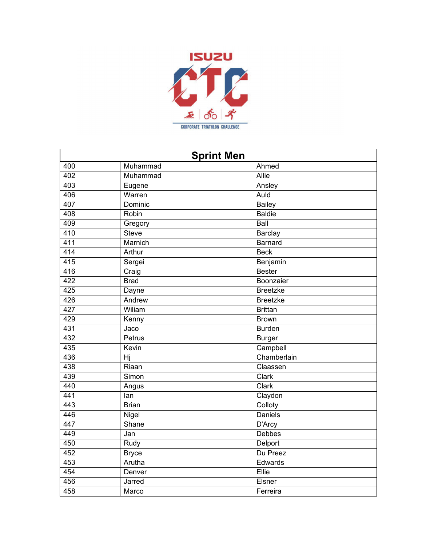

| <b>Sprint Men</b> |              |                 |
|-------------------|--------------|-----------------|
| 400               | Muhammad     | Ahmed           |
| 402               | Muhammad     | Allie           |
| 403               | Eugene       | Ansley          |
| 406               | Warren       | Auld            |
| 407               | Dominic      | <b>Bailey</b>   |
| 408               | Robin        | <b>Baldie</b>   |
| 409               | Gregory      | Ball            |
| 410               | <b>Steve</b> | Barclay         |
| 411               | Marnich      | Barnard         |
| 414               | Arthur       | <b>Beck</b>     |
| $\overline{415}$  | Sergei       | Benjamin        |
| 416               | Craig        | <b>Bester</b>   |
| 422               | <b>Brad</b>  | Boonzaier       |
| 425               | Dayne        | <b>Breetzke</b> |
| 426               | Andrew       | <b>Breetzke</b> |
| 427               | Wiliam       | <b>Brittan</b>  |
| 429               | Kenny        | <b>Brown</b>    |
| 431               | Jaco         | <b>Burden</b>   |
| 432               | Petrus       | <b>Burger</b>   |
| 435               | Kevin        | Campbell        |
| 436               | Hj           | Chamberlain     |
| 438               | Riaan        | Claassen        |
| 439               | Simon        | Clark           |
| 440               | Angus        | Clark           |
| 441               | lan          | Claydon         |
| 443               | <b>Brian</b> | Colloty         |
| 446               | Nigel        | <b>Daniels</b>  |
| 447               | Shane        | D'Arcy          |
| 449               | Jan          | Debbes          |
| 450               | Rudy         | Delport         |
| 452               | <b>Bryce</b> | Du Preez        |
| 453               | Arutha       | Edwards         |
| 454               | Denver       | Ellie           |
| 456               | Jarred       | Elsner          |
| 458               | Marco        | Ferreira        |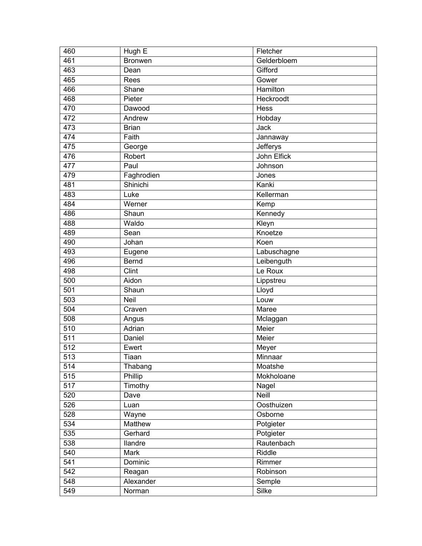| 460              | Hugh E         | Fletcher    |
|------------------|----------------|-------------|
| 461              | <b>Bronwen</b> | Gelderbloem |
| 463              | Dean           | Gifford     |
| 465              | Rees           | Gower       |
| 466              | Shane          | Hamilton    |
| 468              | Pieter         | Heckroodt   |
| 470              | Dawood         | Hess        |
| 472              | Andrew         | Hobday      |
| 473              | <b>Brian</b>   | Jack        |
| 474              | Faith          | Jannaway    |
| 475              | George         | Jefferys    |
| 476              | Robert         | John Elfick |
| 477              | Paul           | Johnson     |
| 479              | Faghrodien     | Jones       |
| 481              | Shinichi       | Kanki       |
| 483              | Luke           | Kellerman   |
| 484              | Werner         | Kemp        |
| 486              | Shaun          | Kennedy     |
| 488              | Waldo          | Kleyn       |
| 489              | Sean           | Knoetze     |
| 490              | Johan          | Koen        |
| 493              | Eugene         | Labuschagne |
| 496              | Bernd          | Leibenguth  |
| 498              | Clint          | Le Roux     |
| 500              | Aidon          | Lippstreu   |
| 501              | Shaun          | Lloyd       |
| 503              | Neil           | Louw        |
| 504              | Craven         | Maree       |
| 508              | Angus          | Mclaggan    |
| 510              | Adrian         | Meier       |
| 511              | Daniel         | Meier       |
| 512              | Ewert          | Meyer       |
| $\overline{513}$ | Tiaan          | Minnaar     |
| 514              | Thabang        | Moatshe     |
| 515              | Phillip        | Mokholoane  |
| 517              | Timothy        | Nagel       |
| 520              | Dave           | Neill       |
| 526              | Luan           | Oosthuizen  |
| 528              | Wayne          | Osborne     |
| 534              | Matthew        | Potgieter   |
| 535              | Gerhard        | Potgieter   |
| 538              | llandre        | Rautenbach  |
| 540              | Mark           | Riddle      |
| 541              | Dominic        | Rimmer      |
| 542              | Reagan         | Robinson    |
| 548              | Alexander      | Semple      |
| 549              | Norman         | Silke       |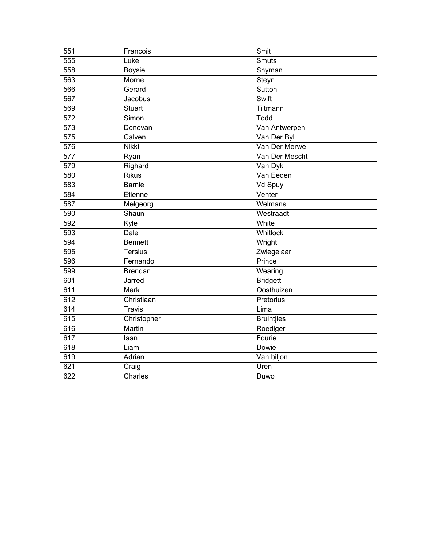| 551              | Francois       | Smit                         |
|------------------|----------------|------------------------------|
| 555              | Luke           | $\overline{\mathsf{S}}$ muts |
| 558              | <b>Boysie</b>  | Snyman                       |
| 563              | Morne          | Steyn                        |
| 566              | Gerard         | Sutton                       |
| 567              | Jacobus        | Swift                        |
| 569              | Stuart         | Tiltmann                     |
| 572              | Simon          | Todd                         |
| 573              | Donovan        | Van Antwerpen                |
| $\overline{575}$ | Calven         | Van Der Byl                  |
| 576              | <b>Nikki</b>   | Van Der Merwe                |
| $\overline{577}$ | Ryan           | Van Der Mescht               |
| 579              | Righard        | Van Dyk                      |
| 580              | <b>Rikus</b>   | Van Eeden                    |
| 583              | <b>Barnie</b>  | Vd Spuy                      |
| 584              | Etienne        | Venter                       |
| 587              | Melgeorg       | Welmans                      |
| 590              | Shaun          | Westraadt                    |
| 592              | Kyle           | White                        |
| 593              | Dale           | Whitlock                     |
| 594              | <b>Bennett</b> | Wright                       |
| 595              | Tersius        | Zwiegelaar                   |
| 596              | Fernando       | Prince                       |
| 599              | <b>Brendan</b> | Wearing                      |
| 601              | Jarred         | <b>Bridgett</b>              |
| 611              | Mark           | Oosthuizen                   |
| 612              | Christiaan     | Pretorius                    |
| 614              | Travis         | Lima                         |
| 615              | Christopher    | <b>Bruintjies</b>            |
| 616              | Martin         | Roediger                     |
| 617              | laan           | Fourie                       |
| 618              | Liam           | Dowie                        |
| 619              | Adrian         | Van biljon                   |
| 621              | Craig          | Uren                         |
| 622              | Charles        | Duwo                         |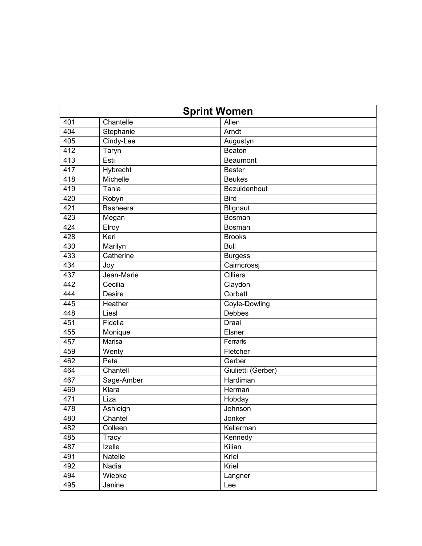|     | <b>Sprint Women</b> |                    |  |
|-----|---------------------|--------------------|--|
| 401 | Chantelle           | Allen              |  |
| 404 | Stephanie           | Arndt              |  |
| 405 | Cindy-Lee           | Augustyn           |  |
| 412 | Taryn               | Beaton             |  |
| 413 | Esti                | <b>Beaumont</b>    |  |
| 417 | Hybrecht            | <b>Bester</b>      |  |
| 418 | Michelle            | <b>Beukes</b>      |  |
| 419 | Tania               | Bezuidenhout       |  |
| 420 | Robyn               | <b>Bird</b>        |  |
| 421 | <b>Basheera</b>     | Blignaut           |  |
| 423 | Megan               | <b>Bosman</b>      |  |
| 424 | Elroy               | Bosman             |  |
| 428 | Keri                | <b>Brooks</b>      |  |
| 430 | Marilyn             | <b>Bull</b>        |  |
| 433 | Catherine           | <b>Burgess</b>     |  |
| 434 | Joy                 | Cairncrossj        |  |
| 437 | Jean-Marie          | <b>Cilliers</b>    |  |
| 442 | Cecilia             | Claydon            |  |
| 444 | <b>Desire</b>       | Corbett            |  |
| 445 | Heather             | Coyle-Dowling      |  |
| 448 | Liesl               | Debbes             |  |
| 451 | Fidelia             | Draai              |  |
| 455 | Monique             | Elsner             |  |
| 457 | Marisa              | Ferraris           |  |
| 459 | Wenty               | Fletcher           |  |
| 462 | Peta                | Gerber             |  |
| 464 | Chantell            | Giulietti (Gerber) |  |
| 467 | Sage-Amber          | Hardiman           |  |
| 469 | Kiara               | Herman             |  |
| 471 | Liza                | Hobday             |  |
| 478 | Ashleigh            | Johnson            |  |
| 480 | Chantel             | Jonker             |  |
| 482 | Colleen             | Kellerman          |  |
| 485 | Tracy               | Kennedy            |  |
| 487 | Izelle              | Kilian             |  |
| 491 | Natelie             | Kriel              |  |
| 492 | Nadia               | Kriel              |  |
| 494 | Wiebke              | Langner            |  |
| 495 | Janine              | Lee                |  |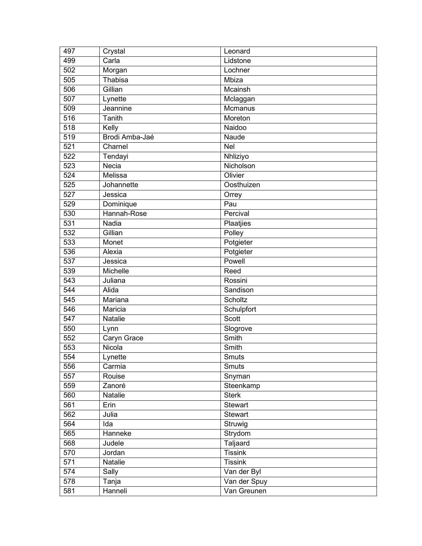| 497              | Crystal        | Leonard        |
|------------------|----------------|----------------|
| 499              | Carla          | Lidstone       |
| 502              | Morgan         | Lochner        |
| 505              | Thabisa        | Mbiza          |
| 506              | Gillian        | Mcainsh        |
| 507              | Lynette        | Mclaggan       |
| 509              | Jeannine       | Mcmanus        |
| 516              | Tanith         | Moreton        |
| 518              | Kelly          | Naidoo         |
| 519              | Brodi Amba-Jaé | Naude          |
| 521              | Charnel        | Nel            |
| 522              | Tendayi        | Nhliziyo       |
| 523              | Necia          | Nicholson      |
| 524              | Melissa        | Olivier        |
| 525              | Johannette     | Oosthuizen     |
| $\overline{527}$ | Jessica        | Orrey          |
| 529              | Dominique      | Pau            |
| 530              | Hannah-Rose    | Percival       |
| 531              | Nadia          | Plaatjies      |
| 532              | Gillian        | Polley         |
| 533              | Monet          | Potgieter      |
| 536              | Alexia         | Potgieter      |
| 537              | Jessica        | Powell         |
| 539              | Michelle       | Reed           |
| 543              | Juliana        | Rossini        |
| 544              | Alida          | Sandison       |
| 545              | Mariana        | Scholtz        |
| 546              | Maricia        | Schulpfort     |
| 547              | Natalie        | <b>Scott</b>   |
| 550              | Lynn           | Slogrove       |
| 552              | Caryn Grace    | Smith          |
| 553              | Nicola         | Smith          |
| 554              | Lynette        | Smuts          |
| 556              | Carmia         | Smuts          |
| 557              | Rouise         | Snyman         |
| 559              | Zanoré         | Steenkamp      |
| 560              | Natalie        | <b>Sterk</b>   |
| 561              | Erin           | Stewart        |
| 562              | Julia          | Stewart        |
| 564              | Ida            | Struwig        |
| 565              | Hanneke        | Strydom        |
| 568              | Judele         | Taljaard       |
| 570              | Jordan         | <b>Tissink</b> |
| 571              | Natalie        | <b>Tissink</b> |
| 574              | Sally          | Van der Byl    |
| 578              | Tanja          | Van der Spuy   |
| 581              | Hanneli        | Van Greunen    |